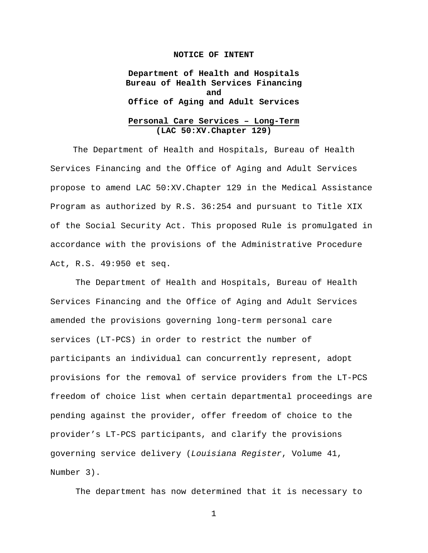## **NOTICE OF INTENT**

**Department of Health and Hospitals Bureau of Health Services Financing and Office of Aging and Adult Services**

# **Personal Care Services – Long-Term (LAC 50:XV.Chapter 129)**

The Department of Health and Hospitals, Bureau of Health Services Financing and the Office of Aging and Adult Services propose to amend LAC 50:XV.Chapter 129 in the Medical Assistance Program as authorized by R.S. 36:254 and pursuant to Title XIX of the Social Security Act. This proposed Rule is promulgated in accordance with the provisions of the Administrative Procedure Act, R.S. 49:950 et seq.

The Department of Health and Hospitals, Bureau of Health Services Financing and the Office of Aging and Adult Services amended the provisions governing long-term personal care services (LT-PCS) in order to restrict the number of participants an individual can concurrently represent, adopt provisions for the removal of service providers from the LT-PCS freedom of choice list when certain departmental proceedings are pending against the provider, offer freedom of choice to the provider's LT-PCS participants, and clarify the provisions governing service delivery (*Louisiana Register*, Volume 41, Number 3).

The department has now determined that it is necessary to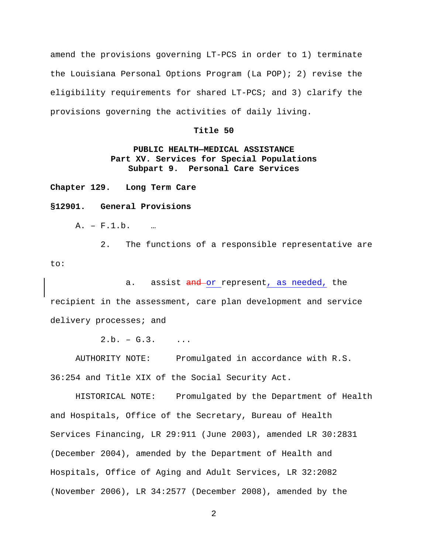amend the provisions governing LT-PCS in order to 1) terminate the Louisiana Personal Options Program (La POP); 2) revise the eligibility requirements for shared LT-PCS; and 3) clarify the provisions governing the activities of daily living.

## **Title 50**

# **PUBLIC HEALTH—MEDICAL ASSISTANCE Part XV. Services for Special Populations Subpart 9. Personal Care Services**

**Chapter 129. Long Term Care**

#### **§12901. General Provisions**

A. – F.1.b. …

2. The functions of a responsible representative are to:

a. assist and or represent, as needed, the recipient in the assessment, care plan development and service delivery processes; and

 $2.b. - G.3.$  ...

AUTHORITY NOTE: Promulgated in accordance with R.S. 36:254 and Title XIX of the Social Security Act.

HISTORICAL NOTE: Promulgated by the Department of Health and Hospitals, Office of the Secretary, Bureau of Health Services Financing, LR 29:911 (June 2003), amended LR 30:2831 (December 2004), amended by the Department of Health and Hospitals, Office of Aging and Adult Services, LR 32:2082 (November 2006), LR 34:2577 (December 2008), amended by the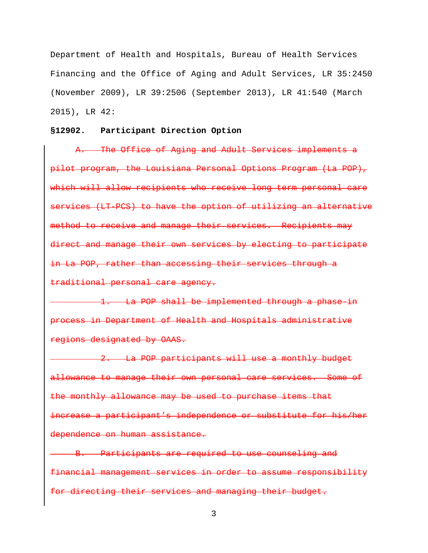Department of Health and Hospitals, Bureau of Health Services Financing and the Office of Aging and Adult Services, LR 35:2450 (November 2009), LR 39:2506 (September 2013), LR 41:540 (March 2015), LR 42:

## **§12902. Participant Direction Option**

A. The Office of Aging and Adult Services implements a pilot program, the Louisiana Personal Options Program (La POP), which will allow recipients who receive long term personal care services (LT-PCS) to have the option of utilizing an alternative method to receive and manage their services. Recipients may direct and manage their own services by electing to participate in La POP, rather than accessing their services through a traditional personal care agency.

1. La POP shall be implemented through a phase in process in Department of Health and Hospitals administrative regions designated by OAAS.

2. La POP participants will use a monthly budget allowance to manage their own personal care services. Some of the monthly allowance may be used to purchase items that increase a participant's independence or substitute for his/her dependence on human assistance.

B. Participants are required to use counseling and financial management services in order to assume responsibility for directing their services and managing their budget.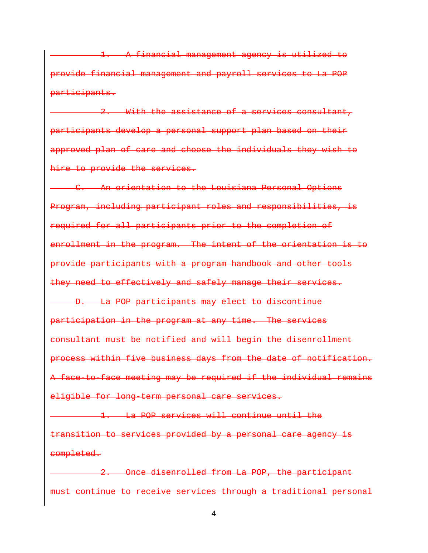1. A financial management agency is utilized to provide financial management and payroll services to La POP participants.

2. With the assistance of a services consultant, participants develop a personal support plan based on their approved plan of care and choose the individuals they wish to hire to provide the services.

C. An orientation to the Louisiana Personal Options Program, including participant roles and responsibilities, is required for all participants prior to the completion of enrollment in the program. The intent of the orientation is to provide participants with a program handbook and other tools they need to effectively and safely manage their services. D. La POP participants may elect to discontinue participation in the program at any time. The services consultant must be notified and will begin the disenrollment process within five business days from the date of notification. A face-to-face meeting may be required if the individual remains eligible for long-term personal care services.

1. La POP services will continue until the transition to services provided by a personal care agency is completed.

2. Once disenrolled from La POP, the participant must continue to receive services through a traditional personal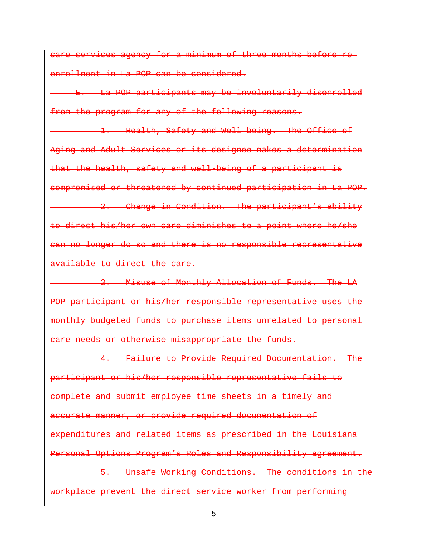care services agency for a minimum of three months before reenrollment in La POP can be considered.

E. La POP participants may be involuntarily disenrolled from the program for any of the following reasons.

1. Health, Safety and Well-being. The Office of Aging and Adult Services or its designee makes a determination that the health, safety and well-being of a participant is compromised or threatened by continued participation in La POP. 2. Change in Condition. The participant's ability

to direct his/her own care diminishes to a point where he/she can no longer do so and there is no responsible representative available to direct the care.

3. Misuse of Monthly Allocation of Funds. The LA POP participant or his/her responsible representative uses the monthly budgeted funds to purchase items unrelated to personal care needs or otherwise misappropriate the funds.

4. Failure to Provide Required Documentation. The participant or his/her responsible representative fails to complete and submit employee time sheets in a timely and accurate manner, or provide required documentation of expenditures and related items as prescribed in the Louisiana Personal Options Program's Roles and Responsibility agreement. 5. Unsafe Working Conditions. The conditions in the workplace prevent the direct service worker from performing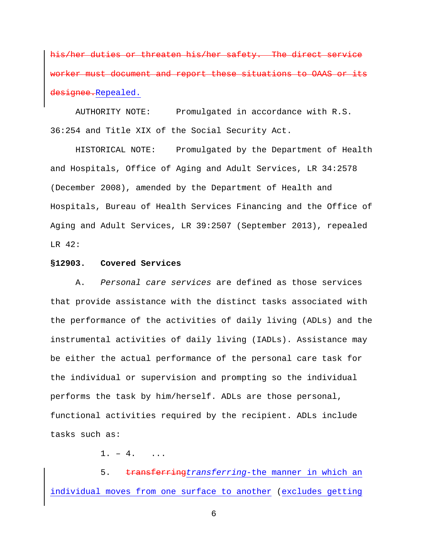his/her duties or threaten his/her safety. The direct service must document and report these situations to i<del>qnee.</del>Repealed.

AUTHORITY NOTE: Promulgated in accordance with R.S. 36:254 and Title XIX of the Social Security Act.

HISTORICAL NOTE: Promulgated by the Department of Health and Hospitals, Office of Aging and Adult Services, LR 34:2578 (December 2008), amended by the Department of Health and Hospitals, Bureau of Health Services Financing and the Office of Aging and Adult Services, LR 39:2507 (September 2013), repealed LR 42:

## **§12903. Covered Services**

A. *Personal care services* are defined as those services that provide assistance with the distinct tasks associated with the performance of the activities of daily living (ADLs) and the instrumental activities of daily living (IADLs). Assistance may be either the actual performance of the personal care task for the individual or supervision and prompting so the individual performs the task by him/herself. ADLs are those personal, functional activities required by the recipient. ADLs include tasks such as:

 $1. - 4.$  ...

5. transferring*transferring*-the manner in which an individual moves from one surface to another (excludes getting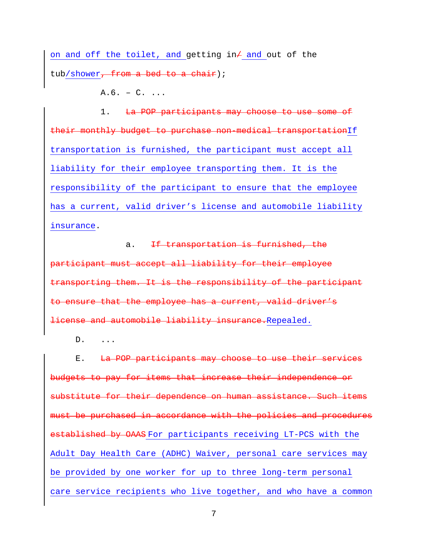on and off the toilet, and getting in $/$  and out of the tub/shower<del>, from a bed to a chair</del>);

 $A.6. - C. ...$ 

1. La POP participants may choose to use some of their monthly budget to purchase non-medical transportationIf transportation is furnished, the participant must accept all liability for their employee transporting them. It is the responsibility of the participant to ensure that the employee has a current, valid driver's license and automobile liability insurance.

a. If transportation is furnished, the participant must accept all liability for their employee transporting them. It is the responsibility of the participant to ensure that the employee has a current, valid driver's license and automobile liability insurance.Repealed.

D. ...

E. La POP participants may choose to use their services budgets to pay for items that increase their independence or substitute for their dependence on human assistance. Such items must be purchased in accordance with the policies and procedures established by OAAS For participants receiving LT-PCS with the Adult Day Health Care (ADHC) Waiver, personal care services may be provided by one worker for up to three long-term personal care service recipients who live together, and who have a common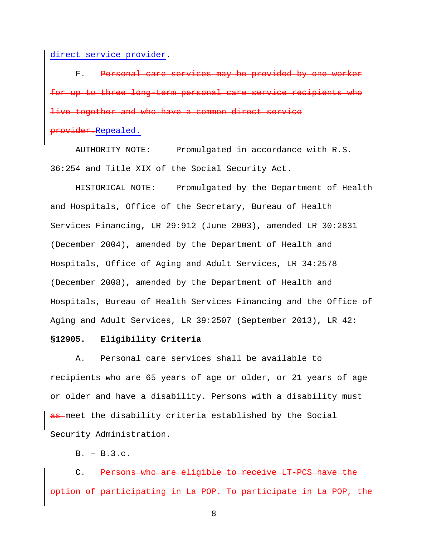direct service provider.

F. Personal care services may be provided by for up to three long-term personal care service live together and who have a common direct service provider.Repealed.

AUTHORITY NOTE: Promulgated in accordance with R.S. 36:254 and Title XIX of the Social Security Act.

HISTORICAL NOTE: Promulgated by the Department of Health and Hospitals, Office of the Secretary, Bureau of Health Services Financing, LR 29:912 (June 2003), amended LR 30:2831 (December 2004), amended by the Department of Health and Hospitals, Office of Aging and Adult Services, LR 34:2578 (December 2008), amended by the Department of Health and Hospitals, Bureau of Health Services Financing and the Office of Aging and Adult Services, LR 39:2507 (September 2013), LR 42:

#### **§12905. Eligibility Criteria**

A. Personal care services shall be available to recipients who are 65 years of age or older, or 21 years of age or older and have a disability. Persons with a disability must as meet the disability criteria established by the Social Security Administration.

 $B. - B.3.c.$ 

C. Persons who are eligible to receive LT-PCS have the option of participating in La POP. To participate in La POP, the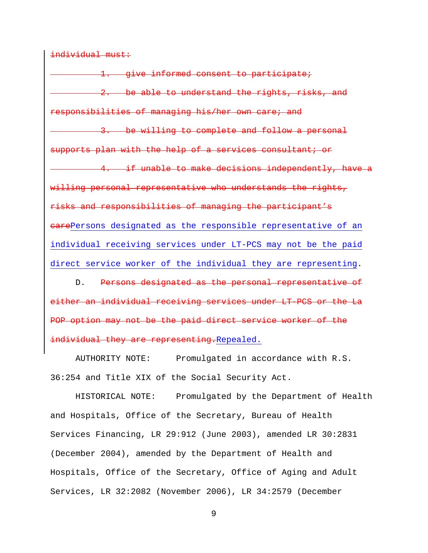individual must:

1. give informed consent to participate; 2. be able to understand the rights, risks, and responsibilities of managing his/her own care; and 3. be willing to complete and follow a personal supports plan with the help of a services consultant; or 4. if unable to make decisions independently, have a willing personal representative who understands the rights, risks and responsibilities of managing the participant's earePersons designated as the responsible representative of an individual receiving services under LT-PCS may not be the paid direct service worker of the individual they are representing.

D. Persons designated as the personal representative of either an individual receiving services under LT-PCS or the La POP option may not be the paid direct service worker of the individual they are representing.Repealed.

AUTHORITY NOTE: Promulgated in accordance with R.S. 36:254 and Title XIX of the Social Security Act.

HISTORICAL NOTE: Promulgated by the Department of Health and Hospitals, Office of the Secretary, Bureau of Health Services Financing, LR 29:912 (June 2003), amended LR 30:2831 (December 2004), amended by the Department of Health and Hospitals, Office of the Secretary, Office of Aging and Adult Services, LR 32:2082 (November 2006), LR 34:2579 (December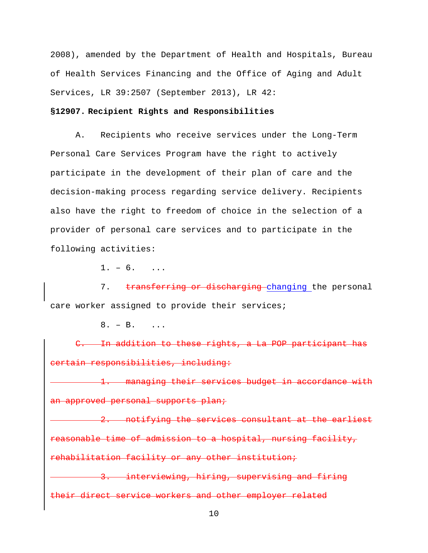2008), amended by the Department of Health and Hospitals, Bureau of Health Services Financing and the Office of Aging and Adult Services, LR 39:2507 (September 2013), LR 42:

# **§12907. Recipient Rights and Responsibilities**

A. Recipients who receive services under the Long-Term Personal Care Services Program have the right to actively participate in the development of their plan of care and the decision-making process regarding service delivery. Recipients also have the right to freedom of choice in the selection of a provider of personal care services and to participate in the following activities:

 $1. - 6.$  ...

7. transferring or discharging changing the personal care worker assigned to provide their services;

 $8. - B.$ 

C. In addition to these rights, a La POP participant has certain responsibilities, including:

1. managing their services budget in accordance with an approved personal supports plan;

2. notifying the services consultant at the earliest reasonable time of admission to a hospital, nursing facility, rehabilitation facility or any other institution;

3. interviewing, hiring, supervising and firing their direct service workers and other employer related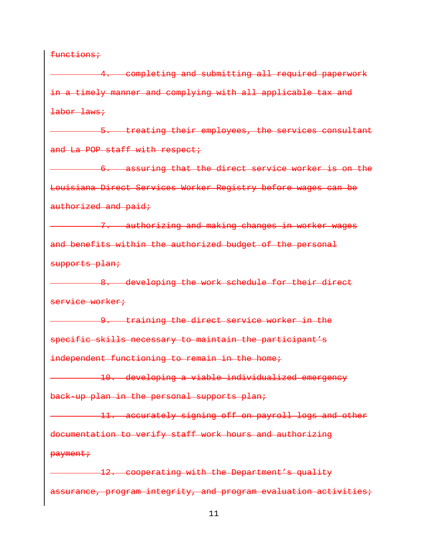functions;

4. completing and submitting all required paperwork in a timely manner and complying with all applicable tax and labor laws;

5. treating their employees, the services consultant and La POP staff with respect;

6. assuring that the direct service worker is on the Louisiana Direct Services Worker Registry before wages can be authorized and paid;

7. authorizing and making changes in worker wages and benefits within the authorized budget of the personal supports plan;

8. developing the work schedule for their direct service worker;

**9.** training the direct service worker in the specific skills necessary to maintain the participant's independent functioning to remain in the home;

10. developing a viable individualized emergency back-up plan in the personal supports plan;

11. accurately signing off on payroll logs and other documentation to verify staff work hours and authorizing payment;

12. cooperating with the Department's quality assurance, program integrity, and program evaluation activities;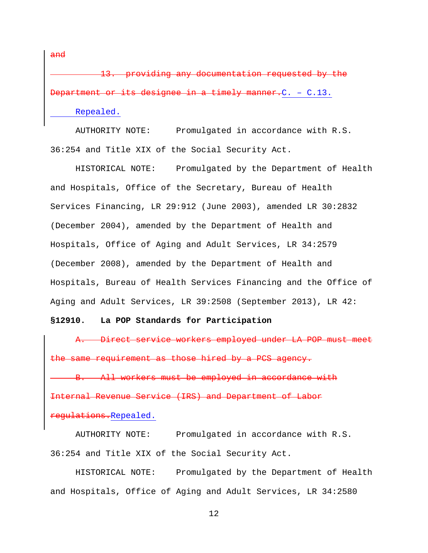13. providing any documentation requested by the or its designee in a timely manner.C. - C.13.

Repealed.

and

AUTHORITY NOTE: Promulgated in accordance with R.S. 36:254 and Title XIX of the Social Security Act.

HISTORICAL NOTE: Promulgated by the Department of Health and Hospitals, Office of the Secretary, Bureau of Health Services Financing, LR 29:912 (June 2003), amended LR 30:2832 (December 2004), amended by the Department of Health and Hospitals, Office of Aging and Adult Services, LR 34:2579 (December 2008), amended by the Department of Health and Hospitals, Bureau of Health Services Financing and the Office of Aging and Adult Services, LR 39:2508 (September 2013), LR 42:

## **§12910. La POP Standards for Participation**

A. Direct service workers employed under LA POP must meet the same requirement as those hired by a PCS agency.

All workers must be employed in accordance with Internal Revenue Service (IRS) and Department of Labor regulations.Repealed.

AUTHORITY NOTE: Promulgated in accordance with R.S. 36:254 and Title XIX of the Social Security Act.

HISTORICAL NOTE: Promulgated by the Department of Health and Hospitals, Office of Aging and Adult Services, LR 34:2580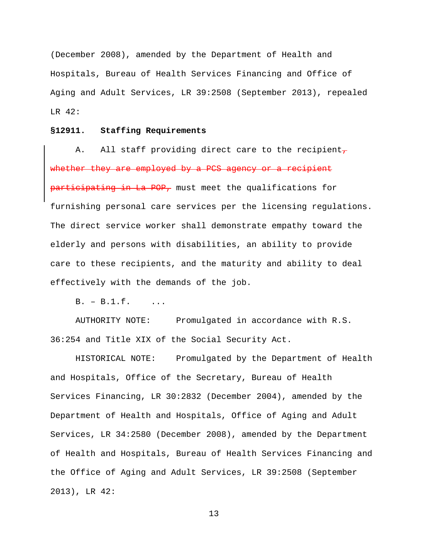(December 2008), amended by the Department of Health and Hospitals, Bureau of Health Services Financing and Office of Aging and Adult Services, LR 39:2508 (September 2013), repealed LR 42:

## **§12911. Staffing Requirements**

A. All staff providing direct care to the recipient $_7$ whether they are employed by a PCS agency or a recipient participating in La POP, must meet the qualifications for furnishing personal care services per the licensing regulations. The direct service worker shall demonstrate empathy toward the elderly and persons with disabilities, an ability to provide care to these recipients, and the maturity and ability to deal effectively with the demands of the job.

 $B. - B.1.f.$  ...

AUTHORITY NOTE: Promulgated in accordance with R.S. 36:254 and Title XIX of the Social Security Act.

HISTORICAL NOTE: Promulgated by the Department of Health and Hospitals, Office of the Secretary, Bureau of Health Services Financing, LR 30:2832 (December 2004), amended by the Department of Health and Hospitals, Office of Aging and Adult Services, LR 34:2580 (December 2008), amended by the Department of Health and Hospitals, Bureau of Health Services Financing and the Office of Aging and Adult Services, LR 39:2508 (September 2013), LR 42: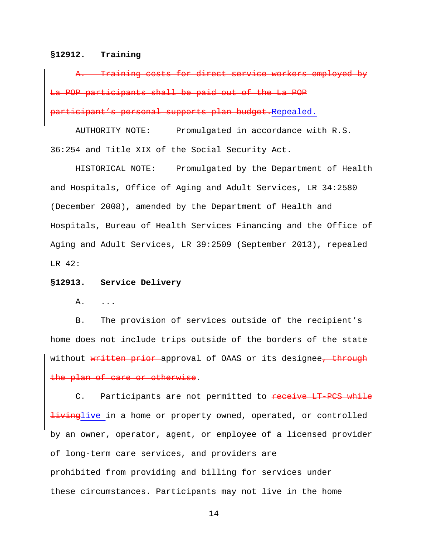#### **§12912. Training**

Training costs for direct service workers employed La POP participants shall be paid out of the La POP participant's personal supports plan budget.Repealed.

AUTHORITY NOTE: Promulgated in accordance with R.S. 36:254 and Title XIX of the Social Security Act.

HISTORICAL NOTE: Promulgated by the Department of Health and Hospitals, Office of Aging and Adult Services, LR 34:2580 (December 2008), amended by the Department of Health and Hospitals, Bureau of Health Services Financing and the Office of Aging and Adult Services, LR 39:2509 (September 2013), repealed LR 42:

#### **§12913. Service Delivery**

A. ...

B. The provision of services outside of the recipient's home does not include trips outside of the borders of the state without written prior approval of OAAS or its designee, through the plan of care or otherwise.

C. Participants are not permitted to receive LT-PCS while **livinglive** in a home or property owned, operated, or controlled by an owner, operator, agent, or employee of a licensed provider of long-term care services, and providers are prohibited from providing and billing for services under these circumstances. Participants may not live in the home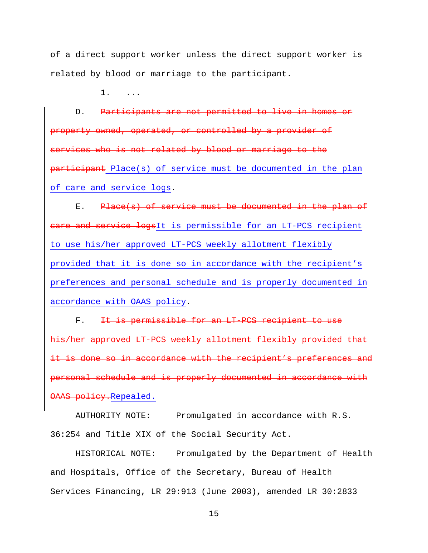of a direct support worker unless the direct support worker is related by blood or marriage to the participant.

1. ...

D. Participants are not permitted to live in homes or property owned, operated, or controlled by a provider of services who is not related by blood or marriage to the participant Place(s) of service must be documented in the plan of care and service logs.

E. Place(s) of service must be documented in the plan of eare and service logsIt is permissible for an LT-PCS recipient to use his/her approved LT-PCS weekly allotment flexibly provided that it is done so in accordance with the recipient's preferences and personal schedule and is properly documented in accordance with OAAS policy.

F. It is permissible for an LT PCS recipient to use his/her approved LT-PCS weekly allotment flexibly provided that is done so in accordance with the recipient's preferences and personal schedule and is properly documented in accordance with OAAS policy.Repealed.

AUTHORITY NOTE: Promulgated in accordance with R.S. 36:254 and Title XIX of the Social Security Act.

HISTORICAL NOTE: Promulgated by the Department of Health and Hospitals, Office of the Secretary, Bureau of Health Services Financing, LR 29:913 (June 2003), amended LR 30:2833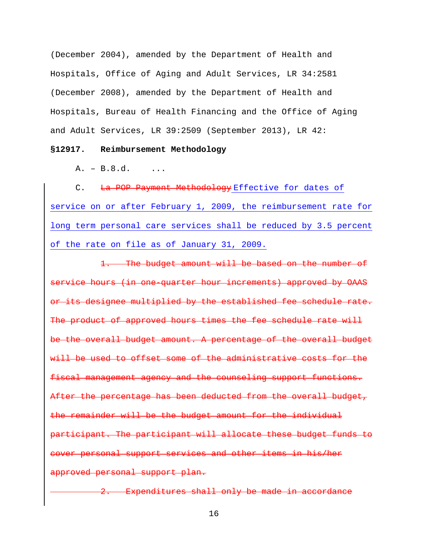(December 2004), amended by the Department of Health and Hospitals, Office of Aging and Adult Services, LR 34:2581 (December 2008), amended by the Department of Health and Hospitals, Bureau of Health Financing and the Office of Aging and Adult Services, LR 39:2509 (September 2013), LR 42:

# **§12917. Reimbursement Methodology**

 $A. - B.8.d.$  ...

C. La POP Payment Methodology Effective for dates of service on or after February 1, 2009, the reimbursement rate for long term personal care services shall be reduced by 3.5 percent of the rate on file as of January 31, 2009.

1. The budget amount will be based on the number of service hours (in one-quarter hour increments) approved by OAAS or its designee multiplied by the established fee schedule rate. The product of approved hours times the fee schedule rate will be the overall budget amount. A percentage of the overall budget will be used to offset some of the administrative costs for the fiscal management agency and the counseling support functions. After the percentage has been deducted from the overall budget, the remainder will be the budget amount for the individual participant. The participant will allocate these budget funds to cover personal support services and other items in his/her approved personal support plan.

2. Expenditures shall only be made in accordance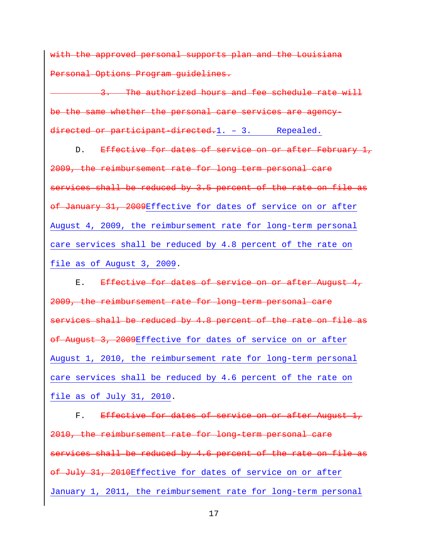with the approved personal supports plan and the Louisiana Personal Options Program guidelines.

3. The authorized hours and fee schedule rate will be the same whether the personal care services are agencydirected or participant-directed.1. - 3. Repealed.

D. Effective for dates of service on or after February 1, 2009, the reimbursement rate for long term personal care services shall be reduced by 3.5 percent of the rate on file as of January 31, 2009Effective for dates of service on or after August 4, 2009, the reimbursement rate for long-term personal care services shall be reduced by 4.8 percent of the rate on file as of August 3, 2009.

E. Effective for dates of service on or after August 4, 2009, the reimbursement rate for long-term personal care services shall be reduced by 4.8 percent of the rate on file as of August 3, 2009Effective for dates of service on or after August 1, 2010, the reimbursement rate for long-term personal care services shall be reduced by 4.6 percent of the rate on file as of July 31, 2010.

F. Effective for dates of service on or after August 1, 2010, the reimbursement rate for long-term personal care services shall be reduced by 4.6 percent of the rate on file as of July 31, 2010Effective for dates of service on or after January 1, 2011, the reimbursement rate for long-term personal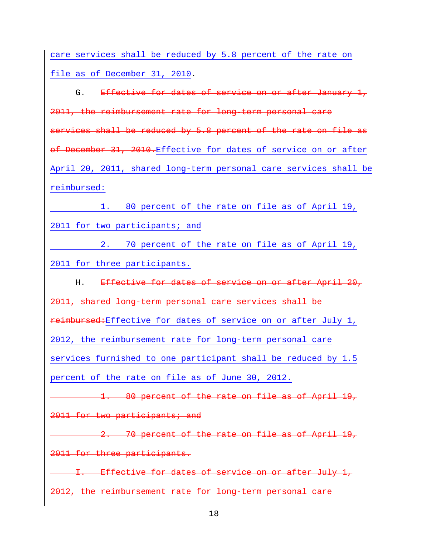care services shall be reduced by 5.8 percent of the rate on file as of December 31, 2010.

G. Effective for dates of service on or after January 1, 2011, the reimbursement rate for long-term personal care services shall be reduced by 5.8 percent of the rate on file as of December 31, 2010.Effective for dates of service on or after April 20, 2011, shared long-term personal care services shall be reimbursed:

1. 80 percent of the rate on file as of April 19, 2011 for two participants; and

2. 70 percent of the rate on file as of April 19, 2011 for three participants.

H. Effective for dates of service on or after April 20, 2011, shared long-term personal care services shall be reimbursed:Effective for dates of service on or after July 1, 2012, the reimbursement rate for long-term personal care services furnished to one participant shall be reduced by 1.5 percent of the rate on file as of June 30, 2012.

1. 80 percent of the rate on file as of April 19, 2011 for two participants; and

2. 70 percent of the rate on file as of April 19, 2011 for three participants.

I. Effective for dates of service on or after July 1, 2012, the reimbursement rate for long-term personal care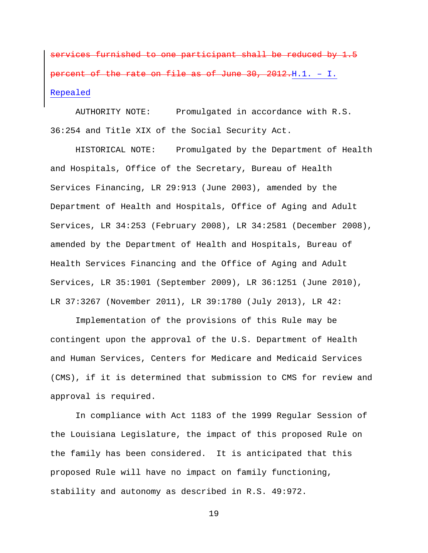services furnished to one participant shall be reduced by 1.5 percent of the rate on file as of June 30, 2012.H.1. – I. Repealed

AUTHORITY NOTE: Promulgated in accordance with R.S. 36:254 and Title XIX of the Social Security Act.

HISTORICAL NOTE: Promulgated by the Department of Health and Hospitals, Office of the Secretary, Bureau of Health Services Financing, LR 29:913 (June 2003), amended by the Department of Health and Hospitals, Office of Aging and Adult Services, LR 34:253 (February 2008), LR 34:2581 (December 2008), amended by the Department of Health and Hospitals, Bureau of Health Services Financing and the Office of Aging and Adult Services, LR 35:1901 (September 2009), LR 36:1251 (June 2010), LR 37:3267 (November 2011), LR 39:1780 (July 2013), LR 42:

Implementation of the provisions of this Rule may be contingent upon the approval of the U.S. Department of Health and Human Services, Centers for Medicare and Medicaid Services (CMS), if it is determined that submission to CMS for review and approval is required.

In compliance with Act 1183 of the 1999 Regular Session of the Louisiana Legislature, the impact of this proposed Rule on the family has been considered. It is anticipated that this proposed Rule will have no impact on family functioning, stability and autonomy as described in R.S. 49:972.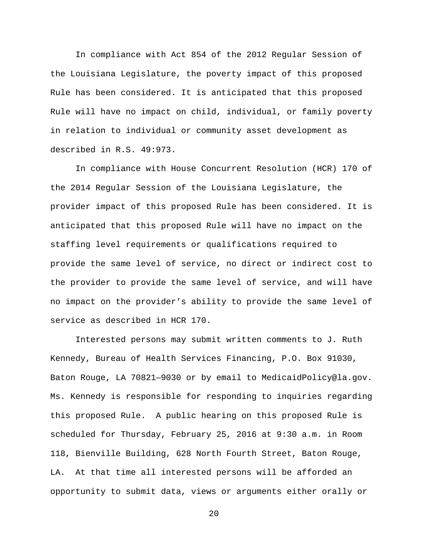In compliance with Act 854 of the 2012 Regular Session of the Louisiana Legislature, the poverty impact of this proposed Rule has been considered. It is anticipated that this proposed Rule will have no impact on child, individual, or family poverty in relation to individual or community asset development as described in R.S. 49:973.

In compliance with House Concurrent Resolution (HCR) 170 of the 2014 Regular Session of the Louisiana Legislature, the provider impact of this proposed Rule has been considered. It is anticipated that this proposed Rule will have no impact on the staffing level requirements or qualifications required to provide the same level of service, no direct or indirect cost to the provider to provide the same level of service, and will have no impact on the provider's ability to provide the same level of service as described in HCR 170.

Interested persons may submit written comments to J. Ruth Kennedy, Bureau of Health Services Financing, P.O. Box 91030, Baton Rouge, LA 70821—9030 or by email to MedicaidPolicy@la.gov. Ms. Kennedy is responsible for responding to inquiries regarding this proposed Rule. A public hearing on this proposed Rule is scheduled for Thursday, February 25, 2016 at 9:30 a.m. in Room 118, Bienville Building, 628 North Fourth Street, Baton Rouge, LA. At that time all interested persons will be afforded an opportunity to submit data, views or arguments either orally or